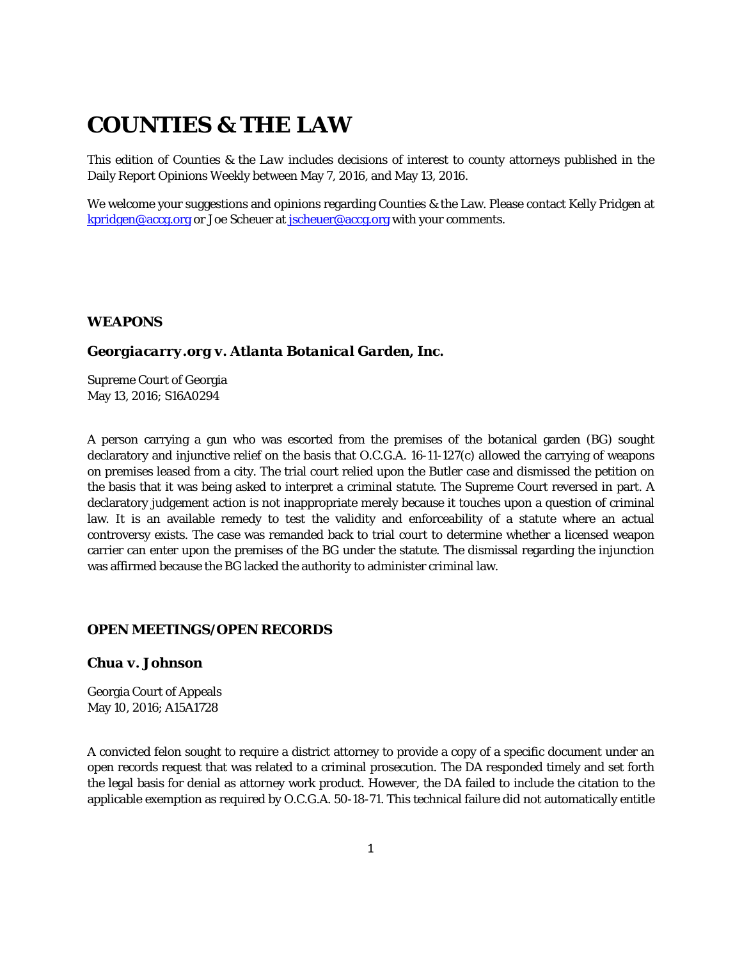# **COUNTIES & THE LAW**

This edition of *Counties & the Law* includes decisions of interest to county attorneys published in the Daily Report Opinions Weekly between May 7, 2016, and May 13, 2016.

We welcome your suggestions and opinions regarding Counties & the Law. Please contact Kelly Pridgen at [kpridgen@accg.org](mailto:kpridgen@accg.org) or Joe Scheuer at [jscheuer@accg.org](mailto:jscheuer@accg.org) with your comments.

# *WEAPONS*

#### *Georgiacarry.org v. Atlanta Botanical Garden, Inc.*

Supreme Court of Georgia May 13, 2016; S16A0294

A person carrying a gun who was escorted from the premises of the botanical garden (BG) sought declaratory and injunctive relief on the basis that O.C.G.A. 16-11-127(c) allowed the carrying of weapons on premises leased from a city. The trial court relied upon the *Butler* case and dismissed the petition on the basis that it was being asked to interpret a criminal statute. The Supreme Court reversed in part. A declaratory judgement action is not inappropriate merely because it touches upon a question of criminal law. It is an available remedy to test the validity and enforceability of a statute where an actual controversy exists. The case was remanded back to trial court to determine whether a licensed weapon carrier can enter upon the premises of the BG under the statute. The dismissal regarding the injunction was affirmed because the BG lacked the authority to administer criminal law.

#### *OPEN MEETINGS/OPEN RECORDS*

# *Chua v. Johnson*

Georgia Court of Appeals May 10, 2016; A15A1728

A convicted felon sought to require a district attorney to provide a copy of a specific document under an open records request that was related to a criminal prosecution. The DA responded timely and set forth the legal basis for denial as attorney work product. However, the DA failed to include the citation to the applicable exemption as required by O.C.G.A. 50-18-71. This technical failure did not automatically entitle